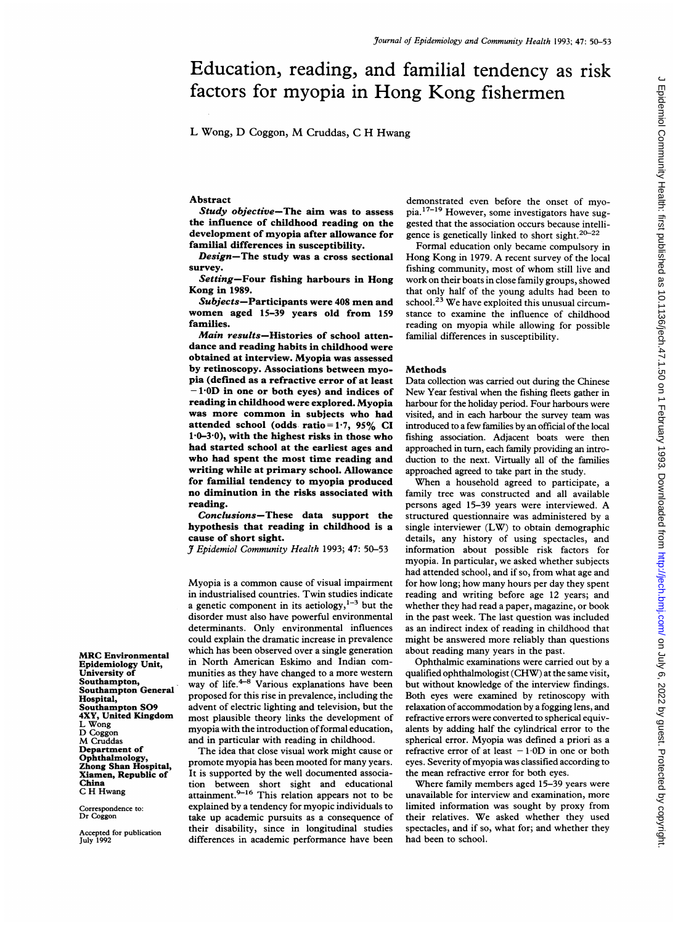# Education, reading, and familial tendency as risk factors for myopia in Hong Kong fishermen

L Wong, D Coggon, M Cruddas, <sup>C</sup> H Hwang

### Abstract

Study objective-The aim was to assess the influence of childhood reading on the development of myopia after allowance for familial differences in susceptibility.

Design-The study was a cross sectional survey.

Setting-Four fishing harbours in Hong Kong in 1989.

Subjects-Participants were 408 men and women aged 15-39 years old from <sup>159</sup> families.

Main results-Histories of school attendance and reading habits in childhood were obtained at interview. Myopia was assessed by retinoscopy. Associations between myopia (defined as a refractive error of at least - 1-0D in one or both eyes) and indices of reading in childhood were explored. Myopia was more common in subjects who had attended school (odds ratio=1.7, 95% CI  $1.0-3.0$ , with the highest risks in those who had started school at the earliest ages and who had spent the most time reading and writing while at primary school. Allowance for familial tendency to myopia produced no diminution in the risks associated with reading.

Conclusions-These data support the hypothesis that reading in childhood is a cause of short sight.

J Epidemiol Community Health 1993; 47: 50-53

Myopia is <sup>a</sup> common cause of visual impairment in industrialised countries. Twin studies indicate a genetic component in its aetiology, $1-3$  but the disorder must also have powerful environmental determinants. Only environmental influences could explain the dramatic increase in prevalence which has been observed over a single generation in North American Eskimo and Indian communities as they have changed to a more western way of life. $4-8$  Various explanations have been proposed for this rise in prevalence, including the advent of electric lighting and television, but the most plausible theory links the development of myopia with the introduction of formal education, and in particular with reading in childhood.

The idea that close visual work might cause or promote myopia has been mooted for many years. It is supported by the well documented association between short sight and educational attainment.<sup>9-16</sup> This relation appears not to be explained by a tendency for myopic individuals to take up academic pursuits as a consequence of their disability, since in longitudinal studies differences in academic performance have been

demonstrated even before the onset of myopia.17-19 However, some investigators have suggested that the association occurs because intelligence is genetically linked to short sight. $20-22$ 

Formal education only became compulsory in Hong Kong in 1979. A recent survey of the local fishing community, most of whom still live and work on their boats in close family groups, showed that only half of the young adults had been to school. $23$  We have exploited this unusual circumstance to examine the influence of childhood reading on myopia while allowing for possible familial differences in susceptibility.

## Methods

Data collection was carried out during the Chinese New Year festival when the fishing fleets gather in harbour for the holiday period. Four harbours were visited, and in each harbour the survey team was introduced to a few families by an official of the local fishing association. Adjacent boats were then approached in turn, each family providing an introduction to the next. Virtually all of the families approached agreed to take part in the study.

When <sup>a</sup> household agreed to participate, <sup>a</sup> family tree was constructed and all available persons aged 15-39 years were interviewed. A structured questionnaire was administered by a single interviewer (LW) to obtain demographic details, any history of using spectacles, and information about possible risk factors for myopia. In particular, we asked whether subjects had attended school, and if so, from what age and for how long; how many hours per day they spent reading and writing before age 12 years; and whether they had read a paper, magazine, or book in the past week. The last question was included as an indirect index of reading in childhood that might be answered more reliably than questions about reading many years in the past.

Ophthalmic examinations were carried out by a qualified ophthalmologist (CHW) at the same visit, but without knowledge of the interview findings. Both eyes were examined by retinoscopy with relaxation of accommodation by a fogging lens, and refractive errors were converted to spherical equivalents by adding half the cylindrical error to the spherical error. Myopia was defined a priori as a refractive error of at least  $-1.0D$  in one or both eyes. Severity of myopia was classified according to the mean refractive error for both eyes.

Where family members aged 15-39 years were unavailable for interview and examination, more limited information was sought by proxy from their relatives. We asked whether they used spectacles, and if so, what for; and whether they had been to school.

MRC Environmental Epidemiology Unit, University of Southampton, Southampton General Hospital, Southampton S09 4XY, United Kingdom L Wong D Coggon M Cruddas Department of Ophthalmology, Zhong Shan Hospital, Xiamen, Republic of China C H Hwang

Correspondence to: Dr Coggon

Accepted for publication July 1992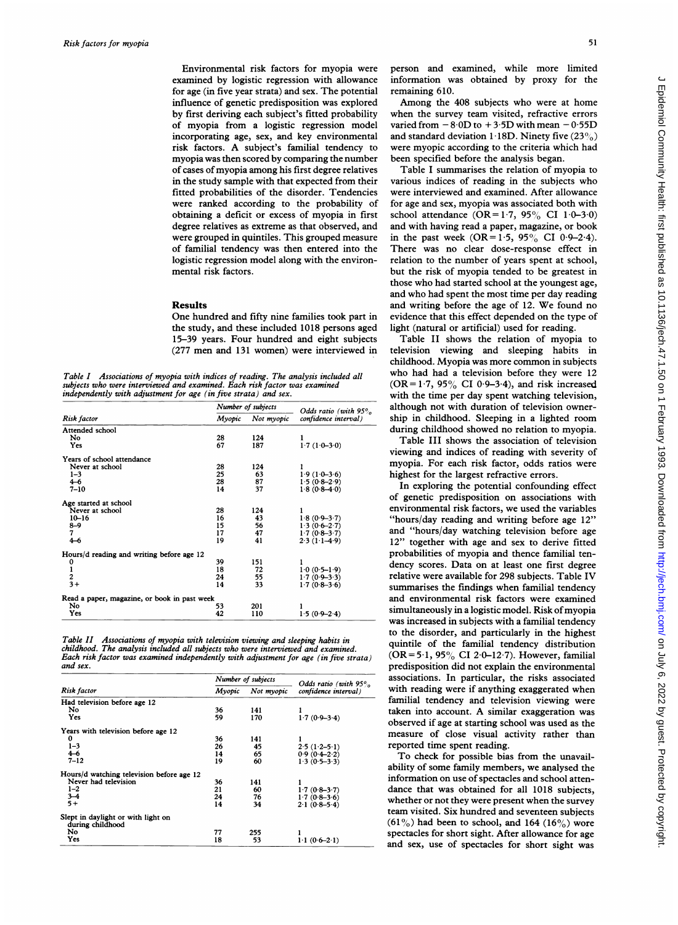Environmental risk factors for myopia were examined by logistic regression with allowance for age (in five year strata) and sex. The potential influence of genetic predisposition was explored by first deriving each subject's fitted probability of myopia from a logistic regression model incorporating age, sex, and key environmental risk factors. A subject's familial tendency to myopia was then scored by comparing the number of cases of myopia among his first degree relatives in the study sample with that expected from their fitted probabilities of the disorder. Tendencies were ranked according to the probability of obtaining a deficit or excess of myopia in first degree relatives as extreme as that observed, and were grouped in quintiles. This grouped measure of familial tendency was then entered into the logistic regression model along with the environmental risk factors.

## Results

One hundred and fifty nine families took part in the study, and these included 1018 persons aged 15-39 years. Four hundred and eight subjects (277 men and 131 women) were interviewed in

Table I Associations of myopia with indices of reading. The analysis included all subjects who were interviewed and examined. Each risk factor was examined independently with adjustment for age (in five strata) and sex.

|                                                   |        | Number of subjects | Odds ratio (with $95%$ |  |
|---------------------------------------------------|--------|--------------------|------------------------|--|
| Risk factor                                       | Myopic | Not myopic         | confidence interval)   |  |
| Attended school                                   |        |                    |                        |  |
| No                                                | 28     | 124                |                        |  |
| Yes                                               | 67     | 187                | $1.7(1.0-3.0)$         |  |
| Years of school attendance                        |        |                    |                        |  |
| Never at school                                   | 28     | 124                |                        |  |
| $1 - 3$                                           | 25     | 63                 | $1.9(1.0-3.6)$         |  |
| $4 - 6$                                           | 28     | 87                 | $1.5(0.8-2.9)$         |  |
| $7 - 10$                                          | 14     | 37                 | $1.8(0.8-4.0)$         |  |
| Age started at school                             |        |                    |                        |  |
| Never at school                                   | 28     | 124                |                        |  |
| $10 - 16$                                         | 16     | 43                 | $1.8(0.9 - 3.7)$       |  |
| $8-9$                                             | 15     | 56                 | $1.3(0.6-2.7)$         |  |
| 7                                                 | 17     | 47                 | $1.7(0.8-3.7)$         |  |
| $4 - 6$                                           | 19     | 41                 | $2.3(1.1-4.9)$         |  |
| Hours/d reading and writing before age 12         |        |                    |                        |  |
|                                                   | 39     | 151                |                        |  |
|                                                   | 18     | 72                 | $1.0(0.5-1.9)$         |  |
|                                                   | 24     | 55                 | $1.7(0.9 - 3.3)$       |  |
| $\begin{array}{c} 0 \\ 1 \\ 2 \\ 3 + \end{array}$ | 14     | 33                 | $1.7(0.8-3.6)$         |  |
| Read a paper, magazine, or book in past week      |        |                    |                        |  |
| No                                                | 53     | 201                |                        |  |
| Yes                                               | 42     | 110                | $1.5(0.9 - 2.4)$       |  |

Table II Associations of myopia with television viewing and sleeping habits in childhood. The analysis included all subjects who were interviewed and examined. Each risk factor was examined independently with adjustment for age (in five strata) and sex.

|                                                        |        | Number of subjects | Odds ratio (with $95%$ |  |
|--------------------------------------------------------|--------|--------------------|------------------------|--|
| Risk factor                                            | Myopic | Not myopic         | confidence interval)   |  |
| Had television before age 12                           |        |                    |                        |  |
| No                                                     | 36     | 141                |                        |  |
| Yes                                                    | 59     | 170                | $1.7(0.9 - 3.4)$       |  |
| Years with television before age 12                    |        |                    |                        |  |
| 0                                                      | 36     | 141                |                        |  |
| $1 - 3$                                                | 26     | 45                 | $2.5(1.2-5.1)$         |  |
| $4 - 6$                                                | 14     | 65                 | $0.9(0.4-2.2)$         |  |
| $7 - 12$                                               | 19     | 60                 | $1.3(0.5 - 3.3)$       |  |
| Hours/d watching television before age 12              |        |                    |                        |  |
| Never had television                                   | 36     | 141                |                        |  |
| $1 - 2$                                                | 21     | 60                 | $1.7(0.8-3.7)$         |  |
| $3 - 4$                                                | 24     | 76                 | $1.7(0.8-3.6)$         |  |
| $5+$                                                   | 14     | 34                 | $2.1(0.8-5.4)$         |  |
| Slept in daylight or with light on<br>during childhood |        |                    |                        |  |
| No                                                     | 77     | 255                |                        |  |
| Yes                                                    | 18     | 53                 | $1.1(0.6-2.1)$         |  |

person and examined, while more limited information was obtained by proxy for the remaining 610.

Among the 408 subjects who were at home when the survey team visited, refractive errors varied from  $-8.0D$  to  $+3.5D$  with mean  $-0.55D$ and standard deviation  $1.18D$ . Ninety five (23%) were myopic according to the criteria which had been specified before the analysis began.

Table <sup>I</sup> summarises the relation of myopia to various indices of reading in the subjects who were interviewed and examined. After allowance for age and sex, myopia was associated both with school attendance  $(OR = 1.7, 95\% \text{ CI } 1.0-3.0)$ and with having read a paper, magazine, or book in the past week  $(OR = 1.5, 95\% \text{ CI } 0.9-2.4).$ There was no clear dose-response effect in relation to the number of years spent at school, but the risk of myopia tended to be greatest in those who had started school at the youngest age, and who had spent the most time per day reading and writing before the age of 12. We found no evidence that this effect depended on the type of light (natural or artificial) used for reading.

Table II shows the relation of myopia to television viewing and sleeping habits in childhood. Myopia was more common in subjects who had had a television before they were 12  $(OR = 1.7, 95\% \text{ CI } 0.9-3.4)$ , and risk increased with the time per day spent watching television, although not with duration of television ownership in childhood. Sleeping in a lighted room during childhood showed no relation to myopia.

Table III shows the association of television viewing and indices of reading with severity of myopia. For each risk factor, odds ratios were highest for the largest refractive errors.

In exploring the potential confounding effect of genetic predisposition on associations with environmental risk factors, we used the variables "hours/day reading and writing before age 12" and "hours/day watching television before age 12" together with age and sex to derive fitted probabilities of myopia and thence familial tendency scores. Data on at least one first degree relative were available for 298 subjects. Table IV summarises the findings when familial tendency and environmental risk factors were examined simultaneously in a logistic model. Risk of myopia was increased in subjects with a familial tendency to the disorder, and particularly in the highest quintile of the familial tendency distribution (OR =  $5.1$ ,  $95\%$  CI 2.0-12.7). However, familial predisposition did not explain the environmental associations. In particular, the risks associated with reading were if anything exaggerated when familial tendency and television viewing were taken into account. A similar exaggeration was observed if age at starting school was used as the measure of close visual activity rather than reported time spent reading.

To check for possible bias from the unavailability of some family members, we analysed the information on use of spectacles and school attendance that was obtained for all 1018 subjects, whether or not they were present when the survey team visited. Six hundred and seventeen subjects  $(61\%)$  had been to school, and 164 (16%) wore spectacles for short sight. After allowance for age and sex, use of spectacles for short sight was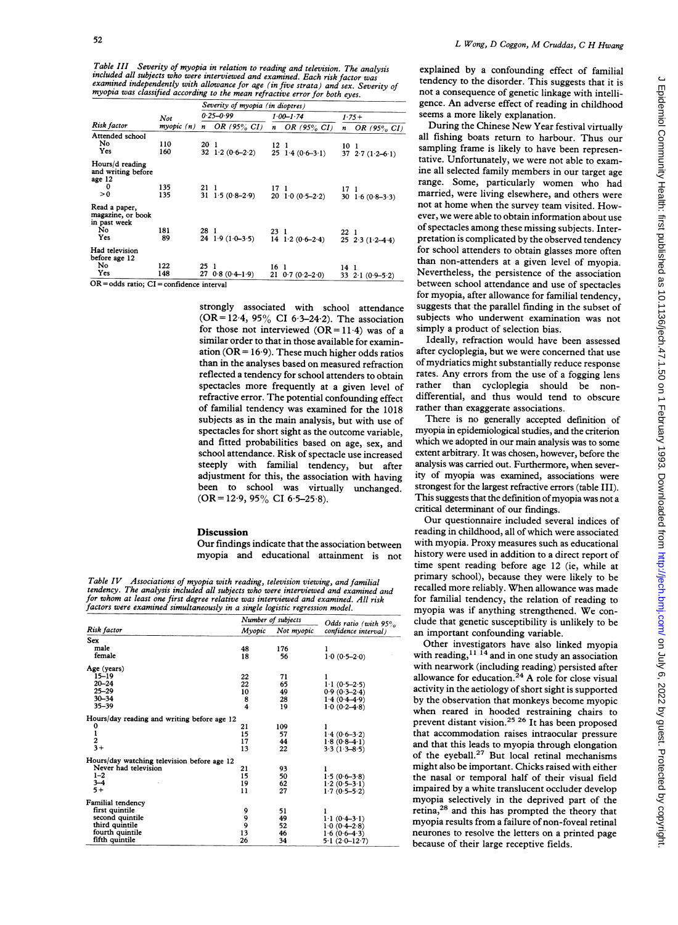Table III Severity of myopia in relation to reading and television. The analysis Included all subjects who were interviewed and examing una cercossom. I ne analysis<br>included all subjects who were interviewed and examined independently with allowance for age (in five strata) and sex. Severity of<br>myopia

|                                                    |           | Severity of myopia (in dioptres) |                    |                  |                                                    |                 |                        |  |
|----------------------------------------------------|-----------|----------------------------------|--------------------|------------------|----------------------------------------------------|-----------------|------------------------|--|
| Risk factor                                        | Not       |                                  | $0.25 - 0.99$      |                  | $1.00 - 1.74$                                      |                 | $1.75+$                |  |
|                                                    | myopic(n) | n                                | OR $(95\% \ CI)$   | $\boldsymbol{n}$ | OR $(95\% \ CI)$                                   | n               | OR $(95\% \ CI)$       |  |
| Attended school                                    |           |                                  |                    |                  |                                                    |                 |                        |  |
| No                                                 | 110       | 20 1                             |                    | 12 <sub>1</sub>  |                                                    | 10 <sub>1</sub> |                        |  |
| Yes                                                | 160       |                                  | 32 $1.2(0.6-2.2)$  |                  | $25 \t14 (0.6 - 3.1)$                              |                 | 37 27 $(1.2-6.1)$      |  |
| Hours/d reading<br>and writing before<br>age 12    |           |                                  |                    |                  |                                                    |                 |                        |  |
| 0                                                  | 135       | 21                               |                    | 171              |                                                    | 17 1            |                        |  |
| > 0                                                | 135       |                                  | 31 1.5 $(0.8-2.9)$ |                  | $20 \quad 1 \cdot 0 \quad (0 \cdot 5 - 2 \cdot 2)$ |                 | 30 $1.6(0.8-3.3)$      |  |
| Read a paper,<br>magazine, or book<br>in past week |           |                                  |                    |                  |                                                    |                 |                        |  |
| No                                                 | 181       | 28 1                             |                    | 23 1             |                                                    | 22 1            |                        |  |
| Yes                                                | 89        |                                  | $24$ 1.9 (1.0-3.5) |                  | $14 \quad 1 \quad 2 \quad (0 \cdot 6 - 2 \cdot 4)$ |                 | $25$ $2.3$ $(1.2-4.4)$ |  |
| Had television<br>before age 12                    |           |                                  |                    |                  |                                                    |                 |                        |  |
| No                                                 | 122       | 25                               | -1                 | 16 1             |                                                    | 14              | - 1                    |  |
| Yes                                                | 148       | 27                               | $0.8(0.4-1.9)$     |                  | $21 \t0.7(0.2-2.0)$                                |                 | 33 $2.1(0.9-5.2)$      |  |
| $OR = odds ratio$ ; $CI = confidence interval$     |           |                                  |                    |                  |                                                    |                 |                        |  |

strongly associated with school attendance (OR =  $12.4$ , 95% CI 6.3-24.2). The association for those not interviewed  $(OR = 11.4)$  was of a similar order to that in those available for examination ( $OR = 16.9$ ). These much higher odds ratios than in the analyses based on measured refraction reflected a tendency for school attenders to obtain spectacles more frequently at <sup>a</sup> given level of refractive error. The potential confounding effect of familial tendency was examined for the 1018 subjects as in the main analysis, but with use of spectacles for short sight as the outcome variable, and fitted probabilities based on age, sex, and school attendance. Risk of spectacle use increased steeply with familial tendency, but after adjustment for this, the association with having been to school was virtually unchanged.  $(OR = 12.9, 95\% \text{ CI } 6.5-25.8).$ 

### **Discussion**

Our findings indicate that the association between myopia and educational attainment is not

Table IV Associations of myopia with reading, television viewing, and familial tendency. The analysis included all subjects who were interviewed and examined and for whom at least one first degree relative was interviewed and examined. All risk factors were examined simultaneously in a single logistic regression model.

|                                             | Number of subjects | Odds ratio (with $95\%$ |                         |  |
|---------------------------------------------|--------------------|-------------------------|-------------------------|--|
| Risk factor                                 | Myopic             | Not myopic              | confidence interval)    |  |
| Sex                                         |                    |                         |                         |  |
| male                                        | 48                 | 176                     |                         |  |
| female                                      | 18                 | 56                      | $1.0(0.5-2.0)$          |  |
| Age (years)                                 |                    |                         |                         |  |
| 15–19                                       | 22                 | 71                      |                         |  |
| $20 - 24$                                   | 22                 | 65                      | $1.1(0.5-2.5)$          |  |
| $25 - 29$                                   | 10                 | 49                      | $0.9(0.3 - 2.4)$        |  |
| $30 - 34$                                   | 8                  | 28                      | $1.4(0.4-4.9)$          |  |
| $35 - 39$                                   | 4                  | 19                      | $10(0.2-4.8)$           |  |
| Hours/day reading and writing before age 12 |                    |                         |                         |  |
| 0                                           | 21                 | 109                     |                         |  |
| $\frac{1}{2}$<br>3+                         | 15                 | 57                      | $1.4(0.6-3.2)$          |  |
|                                             | 17                 | 44                      | $1.8(0.8-4.1)$          |  |
|                                             | 13                 | 22                      | $3.3(1.3 - 8.5)$        |  |
| Hours/day watching television before age 12 |                    |                         |                         |  |
| Never had television                        | 21                 | 93                      |                         |  |
| $1 - 2$                                     | 15                 | 50                      | $1.5(0.6-3.8)$          |  |
| $3 - 4$                                     | 19                 | 62                      | $1.2(0.5-3.1)$          |  |
| $5+$                                        | 11                 | 27                      | $1.7(0.5-5.2)$          |  |
| Familial tendency                           |                    |                         |                         |  |
| first quintile                              | 9                  | 51                      |                         |  |
| second quintile                             | 9                  | 49                      | $1 \cdot 1 (0.4 - 3.1)$ |  |
| third quintile                              | 9                  | 52                      | $1.0(0.4-2.8)$          |  |
| fourth quintile                             | 13                 | 46                      | $1.6(0.6-4.3)$          |  |
| fifth quintile                              | 26                 | 34                      | $5.1(2.0-12.7)$         |  |

explained by a confounding effect of familial tendency to the disorder. This suggests that it is not <sup>a</sup> consequence of genetic linkage with intelligence. An adverse effect of reading in childhood seems <sup>a</sup> more likely explanation.

During the Chinese New Year festival virtually all fishing boats return to harbour. Thus our sampling frame is likely to have been representative. Unfortunately, we were not able to examine all selected family members in our target age range. Some, particularly women who had married, were living elsewhere, and others were not at home when the survey team visited. However, we were able to obtain information about use of spectacles among these missing subjects. Interpretation is complicated by the observed tendency for school attenders to obtain glasses more often than non-attenders at <sup>a</sup> given level of myopia. Nevertheless, the persistence of the association between school attendance and use of spectacles for myopia, after allowance for familial tendency, suggests that the parallel finding in the subset of subjects who underwent examination was not simply a product of selection bias.

Ideally, refraction would have been assessed after cycloplegia, but we were concerned that use of mydriatics might substantially reduce response rates. Any errors from the use of <sup>a</sup> fogging lens rather than cycloplegia should be nondifferential, and thus would tend to obscure rather than exaggerate associations.

There is no generally accepted definition of myopia in epidemiological studies, and the criterion which we adopted in our main analysis was to some extent arbitrary. It was chosen, however, before the analysis was carried out. Furthermore, when severity of myopia was examined, associations were strongest for the largest refractive errors (table III). This suggests that the definition of myopia was not a critical determinant of our findings.

Our questionnaire included several indices of reading in childhood, all of which were associated with myopia. Proxy measures such as educational history were used in addition to <sup>a</sup> direct report of time spent reading before age 12 (ie, while at primary school), because they were likely to be recalled more reliably. When allowance was made for familial tendency, the relation of reading to myopia was if anything strengthened. We conclude that genetic susceptibility is unlikely to be an important confounding variable.

Other investigators have also linked myopia with reading,<sup>11 14</sup> and in one study an association with nearwork (including reading) persisted after allowance for education.<sup>24</sup> A role for close visual activity in the aetiology of short sight is supported by the observation that monkeys become myopic when reared in hooded restraining chairs to prevent distant vision.25 26 It has been proposed that accommodation raises intraocular pressure and that this leads to myopia through elongation of the eyeball.27 But local retinal mechanisms might also be important. Chicks raised with either the nasal or temporal half of their visual field impaired by <sup>a</sup> white translucent occluder develop myopia selectively in the deprived part of the retina,28 and this has prompted the theory that myopia results from a failure of non-foveal retinal neurones to resolve the letters on <sup>a</sup> printed page because of their large receptive fields.